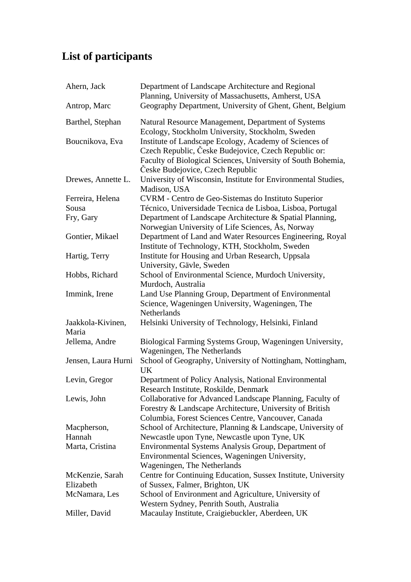## **List of participants**

| Ahern, Jack                | Department of Landscape Architecture and Regional<br>Planning, University of Massachusetts, Amherst, USA                                                                                                           |
|----------------------------|--------------------------------------------------------------------------------------------------------------------------------------------------------------------------------------------------------------------|
| Antrop, Marc               | Geography Department, University of Ghent, Ghent, Belgium                                                                                                                                                          |
| Barthel, Stephan           | Natural Resource Management, Department of Systems<br>Ecology, Stockholm University, Stockholm, Sweden                                                                                                             |
| Boucnikova, Eva            | Institute of Landscape Ecology, Academy of Sciences of<br>Czech Republic, Česke Budejovice, Czech Republic or:<br>Faculty of Biological Sciences, University of South Bohemia,<br>Česke Budejovice, Czech Republic |
| Drewes, Annette L.         | University of Wisconsin, Institute for Environmental Studies,<br>Madison, USA                                                                                                                                      |
| Ferreira, Helena           | CVRM - Centro de Geo-Sistemas do Instituto Superior                                                                                                                                                                |
| Sousa                      | Técnico, Universidade Tecnica de Lisboa, Lisboa, Portugal                                                                                                                                                          |
| Fry, Gary                  | Department of Landscape Architecture & Spatial Planning,<br>Norwegian University of Life Sciences, As, Norway                                                                                                      |
| Gontier, Mikael            | Department of Land and Water Resources Engineering, Royal<br>Institute of Technology, KTH, Stockholm, Sweden                                                                                                       |
| Hartig, Terry              | Institute for Housing and Urban Research, Uppsala<br>University, Gävle, Sweden                                                                                                                                     |
| Hobbs, Richard             | School of Environmental Science, Murdoch University,<br>Murdoch, Australia                                                                                                                                         |
| Immink, Irene              | Land Use Planning Group, Department of Environmental<br>Science, Wageningen University, Wageningen, The<br>Netherlands                                                                                             |
| Jaakkola-Kivinen,<br>Maria | Helsinki University of Technology, Helsinki, Finland                                                                                                                                                               |
| Jellema, Andre             | Biological Farming Systems Group, Wageningen University,<br>Wageningen, The Netherlands                                                                                                                            |
| Jensen, Laura Hurni        | School of Geography, University of Nottingham, Nottingham,<br>UK                                                                                                                                                   |
| Levin, Gregor              | Department of Policy Analysis, National Environmental<br>Research Institute, Roskilde, Denmark                                                                                                                     |
| Lewis, John                | Collaborative for Advanced Landscape Planning, Faculty of<br>Forestry & Landscape Architecture, University of British<br>Columbia, Forest Sciences Centre, Vancouver, Canada                                       |
| Macpherson,                | School of Architecture, Planning & Landscape, University of                                                                                                                                                        |
| Hannah                     | Newcastle upon Tyne, Newcastle upon Tyne, UK                                                                                                                                                                       |
| Marta, Cristina            | Environmental Systems Analysis Group, Department of<br>Environmental Sciences, Wageningen University,<br>Wageningen, The Netherlands                                                                               |
| McKenzie, Sarah            | Centre for Continuing Education, Sussex Institute, University                                                                                                                                                      |
| Elizabeth                  | of Sussex, Falmer, Brighton, UK                                                                                                                                                                                    |
| McNamara, Les              | School of Environment and Agriculture, University of<br>Western Sydney, Penrith South, Australia                                                                                                                   |
| Miller, David              | Macaulay Institute, Craigiebuckler, Aberdeen, UK                                                                                                                                                                   |